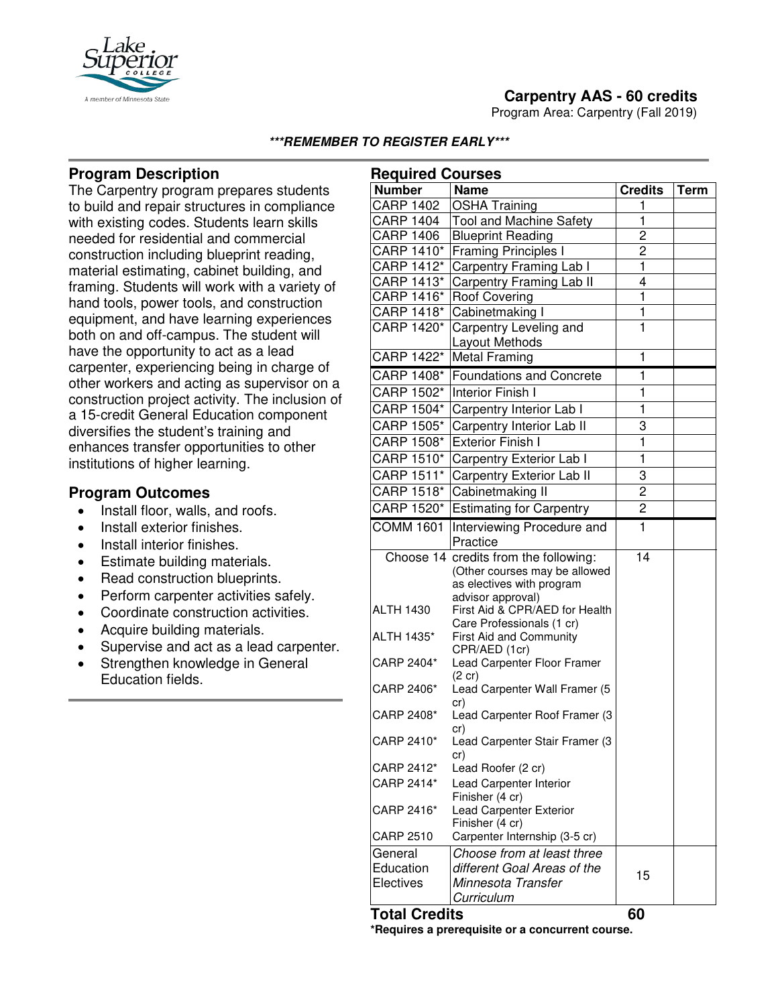

Program Area: Carpentry (Fall 2019)



### **\*\*\*REMEMBER TO REGISTER EARLY\*\*\***

## **Program Description**

The Carpentry program prepares students to build and repair structures in compliance with existing codes. Students learn skills needed for residential and commercial construction including blueprint reading, material estimating, cabinet building, and framing. Students will work with a variety of hand tools, power tools, and construction equipment, and have learning experiences both on and off-campus. The student will have the opportunity to act as a lead carpenter, experiencing being in charge of other workers and acting as supervisor on a construction project activity. The inclusion of a 15-credit General Education component diversifies the student's training and enhances transfer opportunities to other institutions of higher learning.

# **Program Outcomes**

- Install floor, walls, and roofs.
- Install exterior finishes.
- Install interior finishes.
- Estimate building materials.
- Read construction blueprints.
- Perform carpenter activities safely.
- Coordinate construction activities.
- Acquire building materials.
- Supervise and act as a lead carpenter.
- Strengthen knowledge in General Education fields.

| <b>Required Courses</b> |                                                   |                         |             |
|-------------------------|---------------------------------------------------|-------------------------|-------------|
| <b>Number</b>           | <b>Name</b>                                       | <b>Credits</b>          | <b>Term</b> |
| <b>CARP 1402</b>        | <b>OSHA Training</b>                              | 1                       |             |
| <b>CARP 1404</b>        | <b>Tool and Machine Safety</b>                    | 1                       |             |
| <b>CARP 1406</b>        | <b>Blueprint Reading</b>                          | 2                       |             |
| CARP 1410*              | <b>Framing Principles I</b>                       | 2                       |             |
| CARP 1412*              | Carpentry Framing Lab I                           | 1                       |             |
| CARP 1413*              | Carpentry Framing Lab II                          | 4                       |             |
| CARP 1416*              | <b>Roof Covering</b>                              | 1                       |             |
| CARP 1418*              | Cabinetmaking I                                   | 1                       |             |
| CARP 1420*              | Carpentry Leveling and                            | 1                       |             |
|                         | Layout Methods                                    |                         |             |
| CARP 1422*              | <b>Metal Framing</b>                              | 1                       |             |
| CARP 1408*              | <b>Foundations and Concrete</b>                   | 1                       |             |
| CARP 1502*              | <b>Interior Finish I</b>                          | 1                       |             |
| CARP 1504*              | Carpentry Interior Lab I                          | 1                       |             |
| CARP 1505*              | Carpentry Interior Lab II                         | 3                       |             |
| CARP 1508*              | <b>Exterior Finish I</b>                          | $\overline{\mathbf{1}}$ |             |
| CARP 1510*              | Carpentry Exterior Lab I                          | 1                       |             |
| CARP 1511*              | Carpentry Exterior Lab II                         | 3                       |             |
| CARP 1518*              | Cabinetmaking II                                  | 2                       |             |
| CARP 1520*              | <b>Estimating for Carpentry</b>                   | $\mathbf 2$             |             |
| <b>COMM 1601</b>        | Interviewing Procedure and                        | $\mathbf{1}$            |             |
|                         | Practice                                          |                         |             |
|                         | Choose 14 credits from the following:             | $\overline{14}$         |             |
|                         | (Other courses may be allowed                     |                         |             |
|                         | as electives with program<br>advisor approval)    |                         |             |
| <b>ALTH 1430</b>        | First Aid & CPR/AED for Health                    |                         |             |
|                         | Care Professionals (1 cr)                         |                         |             |
| ALTH 1435*              | First Aid and Community                           |                         |             |
|                         | CPR/AED (1cr)                                     |                         |             |
| CARP 2404*              | Lead Carpenter Floor Framer                       |                         |             |
| CARP 2406*              | $(2 \text{ cr})$<br>Lead Carpenter Wall Framer (5 |                         |             |
|                         | cr)                                               |                         |             |
| CARP 2408*              | Lead Carpenter Roof Framer (3                     |                         |             |
|                         | cr)                                               |                         |             |
| CARP 2410*              | Lead Carpenter Stair Framer (3                    |                         |             |
| CARP 2412*              | cr)<br>Lead Roofer (2 cr)                         |                         |             |
| CARP 2414*              | Lead Carpenter Interior                           |                         |             |
|                         | Finisher (4 cr)                                   |                         |             |
| CARP 2416*              | Lead Carpenter Exterior                           |                         |             |
|                         | Finisher (4 cr)                                   |                         |             |
| <b>CARP 2510</b>        | Carpenter Internship (3-5 cr)                     |                         |             |
| General                 | Choose from at least three                        |                         |             |
| Education               | different Goal Areas of the                       | 15                      |             |
| Electives               | Minnesota Transfer                                |                         |             |
|                         | Curriculum                                        |                         |             |

**Total Credits 60**

**\*Requires a prerequisite or a concurrent course.**